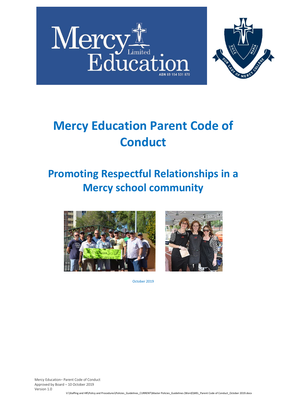



# **Mercy Education Parent Code of Conduct**

### **Promoting Respectful Relationships in a Mercy school community**





October 2019

Mercy Education– Parent Code of Conduct Approved by Board – 10 October 2019 Version 1.0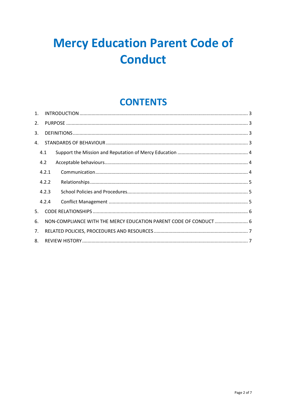## **Mercy Education Parent Code of Conduct**

### **CONTENTS**

| $\mathbf{1}$ . |       |                                                                   |  |  |  |  |  |
|----------------|-------|-------------------------------------------------------------------|--|--|--|--|--|
| 2.             |       |                                                                   |  |  |  |  |  |
| 3.             |       |                                                                   |  |  |  |  |  |
| 4.             |       |                                                                   |  |  |  |  |  |
|                | 4.1   |                                                                   |  |  |  |  |  |
|                | 4.2   |                                                                   |  |  |  |  |  |
|                | 4.2.1 |                                                                   |  |  |  |  |  |
|                | 4.2.2 |                                                                   |  |  |  |  |  |
|                | 4.2.3 |                                                                   |  |  |  |  |  |
|                | 4.2.4 |                                                                   |  |  |  |  |  |
| 5.             |       |                                                                   |  |  |  |  |  |
| 6.             |       | NON-COMPLIANCE WITH THE MERCY EDUCATION PARENT CODE OF CONDUCT  6 |  |  |  |  |  |
| 7.             |       |                                                                   |  |  |  |  |  |
| 8.             |       |                                                                   |  |  |  |  |  |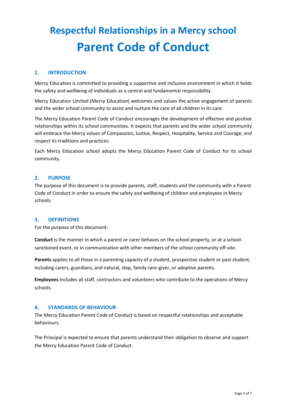### **Respectful Relationships in a Mercy school Parent Code of Conduct**

#### <span id="page-2-0"></span>**1. INTRODUCTION**

Mercy Education is committed to providing a supportive and inclusive environment in which it holds the safety and wellbeing of individuals as a central and fundamental responsibility.

Mercy Education Limited (Mercy Education) welcomes and values the active engagement of parents and the wider school community to assist and nurture the care of all children in its care.

The Mercy Education Parent Code of Conduct encourages the development of effective and positive relationships within its school communities. It expects that parents and the wider school community will embrace the Mercy values of Compassion, Justice, Respect, Hospitality, Service and Courage, and respect its traditions and practices.

Each Mercy Education school adopts the Mercy Education Parent Code of Conduct for its school community.

#### <span id="page-2-1"></span>**2. PURPOSE**

The purpose of this document is to provide parents, staff, students and the community with a Parent Code of Conduct in order to ensure the safety and wellbeing of children and employees in Mercy schools.

#### <span id="page-2-2"></span>**3. DEFINITIONS**

For the purpose of this document:

**Conduct** is the manner in which a parent or carer behaves on the school property, or at a schoolsanctioned event, or in communication with other members of the school community off-site.

Parents applies to all those in a parenting capacity of a student, prospective student or past student, including carers, guardians, and natural, step, family care-giver, or adoptive parents.

**Employees** includes all staff, contractors and volunteers who contribute to the operations of Mercy schools.

#### <span id="page-2-3"></span>**4. STANDARDS OF BEHAVIOUR**

The Mercy Education Parent Code of Conduct is based on respectful relationships and acceptable behaviours.

The Principal is expected to ensure that parents understand their obligation to observe and support the Mercy Education Parent Code of Conduct.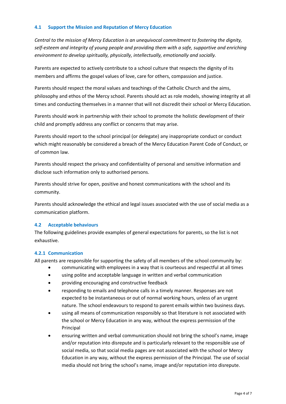#### <span id="page-3-0"></span>**4.1 Support the Mission and Reputation of Mercy Education**

*Central to the mission of Mercy Education is an unequivocal commitment to fostering the dignity, self-esteem and integrity of young people and providing them with a safe, supportive and enriching environment to develop spiritually, physically, intellectually, emotionally and socially.*

Parents are expected to actively contribute to a school culture that respects the dignity of its members and affirms the gospel values of love, care for others, compassion and justice.

Parents should respect the moral values and teachings of the Catholic Church and the aims, philosophy and ethos of the Mercy school. Parents should act as role models, showing integrity at all times and conducting themselves in a manner that will not discredit their school or Mercy Education.

Parents should work in partnership with their school to promote the holistic development of their child and promptly address any conflict or concerns that may arise.

Parents should report to the school principal (or delegate) any inappropriate conduct or conduct which might reasonably be considered a breach of the Mercy Education Parent Code of Conduct, or of common law.

Parents should respect the privacy and confidentiality of personal and sensitive information and disclose such information only to authorised persons.

Parents should strive for open, positive and honest communications with the school and its community.

Parents should acknowledge the ethical and legal issues associated with the use of social media as a communication platform.

#### <span id="page-3-1"></span>**4.2 Acceptable behaviours**

The following guidelines provide examples of general expectations for parents, so the list is not exhaustive.

#### <span id="page-3-2"></span>**4.2.1 Communication**

All parents are responsible for supporting the safety of all members of the school community by:

- communicating with employees in a way that is courteous and respectful at all times
- using polite and acceptable language in written and verbal communication
- providing encouraging and constructive feedback
- responding to emails and telephone calls in a timely manner. Responses are not expected to be instantaneous or out of normal working hours, unless of an urgent nature. The school endeavours to respond to parent emails within two business days.
- using all means of communication responsibly so that literature is not associated with the school or Mercy Education in any way, without the express permission of the Principal
- ensuring written and verbal communication should not bring the school's name, image and/or reputation into disrepute and is particularly relevant to the responsible use of social media, so that social media pages are not associated with the school or Mercy Education in any way, without the express permission of the Principal. The use of social media should not bring the school's name, image and/or reputation into disrepute.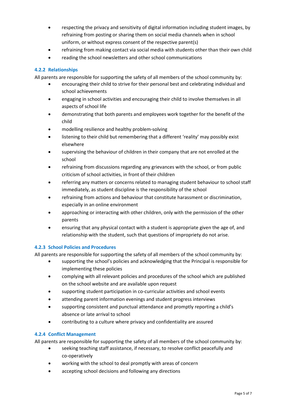- respecting the privacy and sensitivity of digital information including student images, by refraining from posting or sharing them on social media channels when in school uniform, or without express consent of the respective parent(s)
- refraining from making contact via social media with students other than their own child
- reading the school newsletters and other school communications

#### <span id="page-4-0"></span>**4.2.2 Relationships**

All parents are responsible for supporting the safety of all members of the school community by:

- encouraging their child to strive for their personal best and celebrating individual and school achievements
- engaging in school activities and encouraging their child to involve themselves in all aspects of school life
- demonstrating that both parents and employees work together for the benefit of the child
- modelling resilience and healthy problem-solving
- listening to their child but remembering that a different 'reality' may possibly exist elsewhere
- supervising the behaviour of children in their company that are not enrolled at the school
- refraining from discussions regarding any grievances with the school, or from public criticism of school activities, in front of their children
- referring any matters or concerns related to managing student behaviour to school staff immediately, as student discipline is the responsibility of the school
- refraining from actions and behaviour that constitute harassment or discrimination, especially in an online environment
- approaching or interacting with other children, only with the permission of the other parents
- ensuring that any physical contact with a student is appropriate given the age of, and relationship with the student, such that questions of impropriety do not arise.

#### <span id="page-4-1"></span>**4.2.3 School Policies and Procedures**

All parents are responsible for supporting the safety of all members of the school community by:

- supporting the school's policies and acknowledging that the Principal is responsible for implementing these policies
- complying with all relevant policies and procedures of the school which are published on the school website and are available upon request
- supporting student participation in co-curricular activities and school events
- attending parent information evenings and student progress interviews
- supporting consistent and punctual attendance and promptly reporting a child's absence or late arrival to school
- contributing to a culture where privacy and confidentiality are assured

#### <span id="page-4-2"></span>**4.2.4 Conflict Management**

All parents are responsible for supporting the safety of all members of the school community by:

- seeking teaching staff assistance, if necessary, to resolve conflict peacefully and co-operatively
- working with the school to deal promptly with areas of concern
- accepting school decisions and following any directions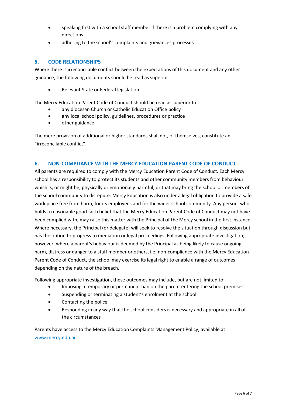- speaking first with a school staff member if there is a problem complying with any directions
- adhering to the school's complaints and grievances processes

#### <span id="page-5-0"></span>**5. CODE RELATIONSHIPS**

Where there is irreconcilable conflict between the expectations of this document and any other guidance, the following documents should be read as superior:

• Relevant State or Federal legislation

The Mercy Education Parent Code of Conduct should be read as superior to:

- any diocesan Church or Catholic Education Office policy
- any local school policy, guidelines, procedures or practice
- other guidance

The mere provision of additional or higher standards shall not, of themselves, constitute an "irreconcilable conflict".

#### <span id="page-5-1"></span>**6. NON-COMPLIANCE WITH THE MERCY EDUCATION PARENT CODE OF CONDUCT**

All parents are required to comply with the Mercy Education Parent Code of Conduct. Each Mercy school has a responsibility to protect its students and other community members from behaviour which is, or might be, physically or emotionally harmful, or that may bring the school or members of the school community to disrepute. Mercy Education is also under a legal obligation to provide a safe work place free from harm, for its employees and for the wider school community. Any person, who holds a reasonable good faith belief that the Mercy Education Parent Code of Conduct may not have been complied with, may raise this matter with the Principal of the Mercy school in the first instance. Where necessary, the Principal (or delegate) will seek to resolve the situation through discussion but has the option to progress to mediation or legal proceedings. Following appropriate investigation; however, where a parent's behaviour is deemed by the Principal as being likely to cause ongoing harm, distress or danger to a staff member or others, i.e. non-compliance with the Mercy Education Parent Code of Conduct, the school may exercise its legal right to enable a range of outcomes depending on the nature of the breach.

Following appropriate investigation, these outcomes may include, but are not limited to:

- Imposing a temporary or permanent ban on the parent entering the school premises
- Suspending or terminating a student's enrolment at the school
- Contacting the police
- Responding in any way that the school considers is necessary and appropriate in all of the circumstances

Parents have access to the Mercy Education Complaints Management Policy, available at [www.mercy.edu.au](http://www.mercy.edu.au/)